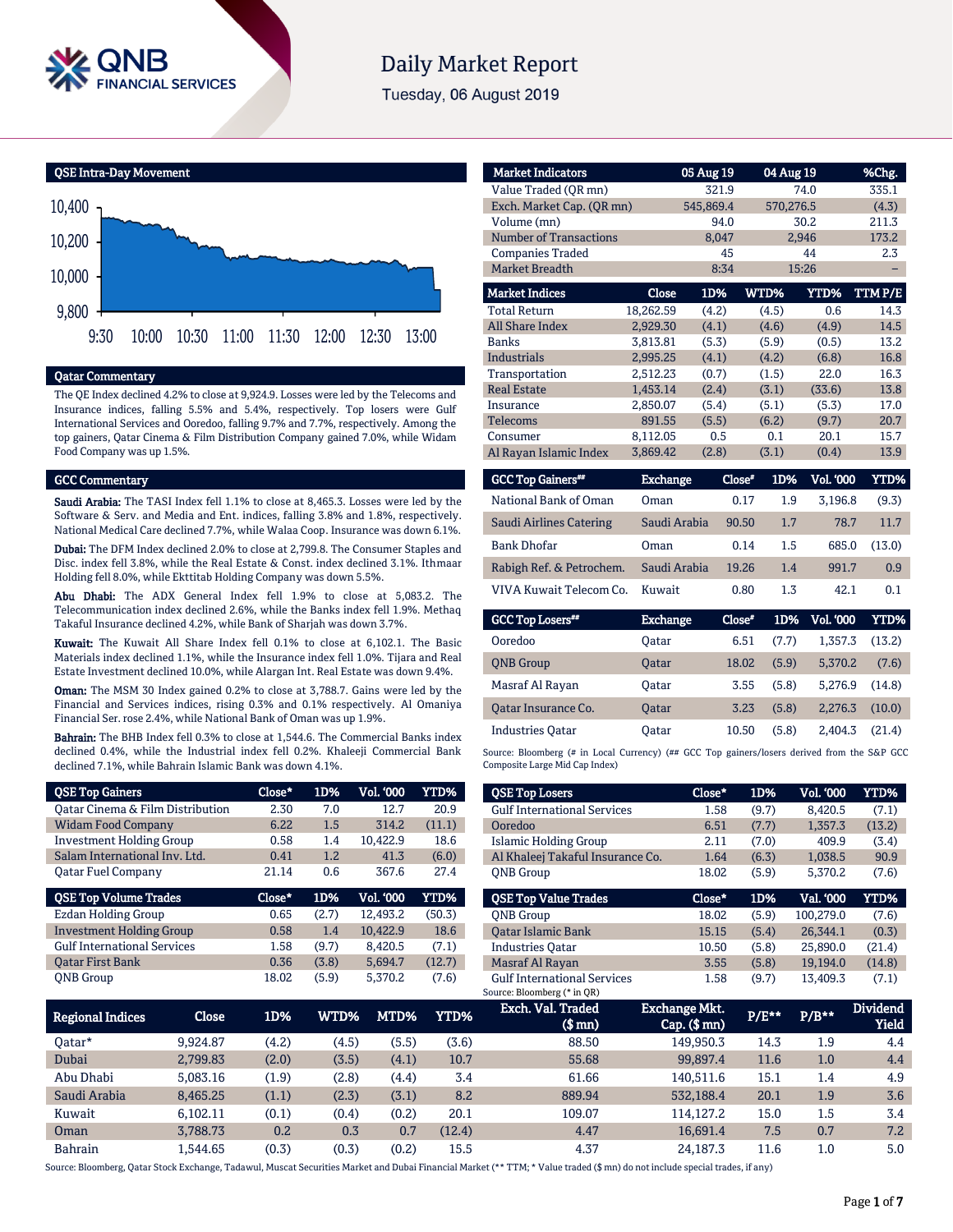

# **Daily Market Report**

Tuesday, 06 August 2019



### Qatar Commentary

The QE Index declined 4.2% to close at 9,924.9. Losses were led by the Telecoms and Insurance indices, falling 5.5% and 5.4%, respectively. Top losers were Gulf International Services and Ooredoo, falling 9.7% and 7.7%, respectively. Among the top gainers, Qatar Cinema & Film Distribution Company gained 7.0%, while Widam Food Company was up 1.5%.

#### GCC Commentary

Saudi Arabia: The TASI Index fell 1.1% to close at 8,465.3. Losses were led by the Software & Serv. and Media and Ent. indices, falling 3.8% and 1.8%, respectively. National Medical Care declined 7.7%, while Walaa Coop. Insurance was down 6.1%.

Dubai: The DFM Index declined 2.0% to close at 2,799.8. The Consumer Staples and Disc. index fell 3.8%, while the Real Estate & Const. index declined 3.1%. Ithmaar Holding fell 8.0%, while Ekttitab Holding Company was down 5.5%.

Abu Dhabi: The ADX General Index fell 1.9% to close at 5,083.2. The Telecommunication index declined 2.6%, while the Banks index fell 1.9%. Methaq Takaful Insurance declined 4.2%, while Bank of Sharjah was down 3.7%.

Kuwait: The Kuwait All Share Index fell 0.1% to close at 6,102.1. The Basic Materials index declined 1.1%, while the Insurance index fell 1.0%. Tijara and Real Estate Investment declined 10.0%, while Alargan Int. Real Estate was down 9.4%.

Oman: The MSM 30 Index gained 0.2% to close at 3,788.7. Gains were led by the Financial and Services indices, rising 0.3% and 0.1% respectively. Al Omaniya Financial Ser. rose 2.4%, while National Bank of Oman was up 1.9%.

Bahrain: The BHB Index fell 0.3% to close at 1,544.6. The Commercial Banks index declined 0.4%, while the Industrial index fell 0.2%. Khaleeji Commercial Bank declined 7.1%, while Bahrain Islamic Bank was down 4.1%.

| <b>QSE Top Gainers</b>             | Close* | 1D%   | Vol. 000         | YTD%   |
|------------------------------------|--------|-------|------------------|--------|
| Oatar Cinema & Film Distribution   | 2.30   | 7.0   | 12.7             | 20.9   |
| <b>Widam Food Company</b>          | 6.22   | 1.5   | 314.2            | (11.1) |
| <b>Investment Holding Group</b>    | 0.58   | 1.4   | 10.422.9         | 18.6   |
| Salam International Inv. Ltd.      | 0.41   | 1.2   | 41.3             | (6.0)  |
| Oatar Fuel Company                 | 21.14  | 0.6   | 367.6            | 27.4   |
|                                    |        |       |                  |        |
| <b>QSE Top Volume Trades</b>       | Close* | 1D%   | <b>Vol. '000</b> | YTD%   |
| <b>Ezdan Holding Group</b>         | 0.65   | (2.7) | 12.493.2         | (50.3) |
| <b>Investment Holding Group</b>    | 0.58   | 1.4   | 10.422.9         | 18.6   |
| <b>Gulf International Services</b> | 1.58   | (9.7) | 8.420.5          | (7.1)  |
| <b>Oatar First Bank</b>            | 0.36   | (3.8) | 5.694.7          | (12.7) |

| <b>Market Indicators</b>      |           | 05 Aug 19 | 04 Aug 19 |             | %Chg.  |  |
|-------------------------------|-----------|-----------|-----------|-------------|--------|--|
| Value Traded (QR mn)          |           | 321.9     |           | 74.0        | 335.1  |  |
| Exch. Market Cap. (QR mn)     |           | 545,869.4 |           | 570,276.5   | (4.3)  |  |
| Volume (mn)                   |           | 94.0      |           | 30.2        | 211.3  |  |
| <b>Number of Transactions</b> |           | 8,047     |           | 2,946       | 173.2  |  |
| <b>Companies Traded</b>       |           | 45        |           | 44          | 2.3    |  |
| <b>Market Breadth</b>         |           | 8:34      |           | 15:26       |        |  |
| <b>Market Indices</b>         | Close     | 1D%       | WTD%      | <b>YTD%</b> | TTMP/E |  |
| <b>Total Return</b>           | 18,262.59 | (4.2)     | (4.5)     | 0.6         | 14.3   |  |
| <b>All Share Index</b>        | 2,929.30  | (4.1)     | (4.6)     | (4.9)       | 14.5   |  |
| <b>Banks</b>                  | 3,813.81  | (5.3)     | (5.9)     | (0.5)       | 13.2   |  |
| <b>Industrials</b>            | 2,995.25  | (4.1)     | (4.2)     | (6.8)       | 16.8   |  |
| Transportation                | 2,512.23  | (0.7)     | (1.5)     | 22.0        | 16.3   |  |
| <b>Real Estate</b>            | 1,453.14  | (2.4)     | (3.1)     | (33.6)      | 13.8   |  |
| Insurance                     | 2,850.07  | (5.4)     | (5.1)     | (5.3)       | 17.0   |  |
| <b>Telecoms</b>               | 891.55    | (5.5)     | (6.2)     | (9.7)       | 20.7   |  |
| Consumer                      | 8,112.05  | 0.5       | 0.1       | 20.1        | 15.7   |  |
| Al Rayan Islamic Index        | 3,869.42  | (2.8)     | (3.1)     | (0.4)       | 13.9   |  |

| <b>GCC Top Gainers</b> " | <b>Exchange</b> | Close* | 1D% | <b>Vol. '000</b> | YTD%   |
|--------------------------|-----------------|--------|-----|------------------|--------|
| National Bank of Oman    | Oman            | 0.17   | 1.9 | 3.196.8          | (9.3)  |
| Saudi Airlines Catering  | Saudi Arabia    | 90.50  | 1.7 | 78.7             | 11.7   |
| <b>Bank Dhofar</b>       | Oman            | 0.14   | 1.5 | 685.0            | (13.0) |
| Rabigh Ref. & Petrochem. | Saudi Arabia    | 19.26  | 1.4 | 991.7            | 0.9    |
| VIVA Kuwait Telecom Co.  | Kuwait          | 0.80   | 1.3 | 42.1             | 0.1    |

| <b>GCC Top Losers</b>   | <b>Exchange</b> | Close* | 1D%   | Vol. '000 | YTD%   |
|-------------------------|-----------------|--------|-------|-----------|--------|
| Ooredoo                 | Oatar           | 6.51   | (7.7) | 1.357.3   | (13.2) |
| <b>ONB</b> Group        | <b>Oatar</b>    | 18.02  | (5.9) | 5.370.2   | (7.6)  |
| Masraf Al Rayan         | Oatar           | 3.55   | (5.8) | 5.276.9   | (14.8) |
| Oatar Insurance Co.     | <b>Oatar</b>    | 3.23   | (5.8) | 2.276.3   | (10.0) |
| <b>Industries Oatar</b> | Oatar           | 10.50  | (5.8) | 2.404.3   | (21.4) |

Source: Bloomberg (# in Local Currency) (## GCC Top gainers/losers derived from the S&P GCC Composite Large Mid Cap Index)

| <b>QSE Top Losers</b>              | Close* | 1D%   | <b>Vol. '000</b> | YTD%   |
|------------------------------------|--------|-------|------------------|--------|
| <b>Gulf International Services</b> | 1.58   | (9.7) | 8.420.5          | (7.1)  |
| Ooredoo                            | 6.51   | (7.7) | 1.357.3          | (13.2) |
| Islamic Holding Group              | 2.11   | (7.0) | 409.9            | (3.4)  |
| Al Khaleej Takaful Insurance Co.   | 1.64   | (6.3) | 1.038.5          | 90.9   |
| <b>ONB</b> Group                   | 18.02  | (5.9) | 5.370.2          | (7.6)  |
|                                    |        |       |                  |        |
|                                    |        |       |                  |        |
| <b>OSE Top Value Trades</b>        | Close* | 1D%   | Val. '000        | YTD%   |
| <b>ONB</b> Group                   | 18.02  | (5.9) | 100.279.0        | (7.6)  |
| <b>Oatar Islamic Bank</b>          | 15.15  | (5.4) | 26.344.1         | (0.3)  |
| <b>Industries Oatar</b>            | 10.50  | (5.8) | 25,890.0         | (21.4) |
| Masraf Al Rayan                    | 3.55   | (5.8) | 19.194.0         | (14.8) |

| <b>Regional Indices</b> | Close    | 1D%   | WTD%' | MTD%  | YTD%   | Exch. Val. Traded<br>$$$ mn $)$ | Exchange Mkt.<br>$Cap.$ ( $$rm)$ ) | P/E** | $P/B**$ | <b>Dividend</b><br>Yield |
|-------------------------|----------|-------|-------|-------|--------|---------------------------------|------------------------------------|-------|---------|--------------------------|
| Oatar*                  | 9.924.87 | (4.2) | (4.5) | (5.5) | (3.6)  | 88.50                           | 149.950.3                          | 14.3  | 1.9     | 4.4                      |
| Dubai                   | 2,799.83 | (2.0) | (3.5) | (4.1) | 10.7   | 55.68                           | 99.897.4                           | 11.6  | 1.0     | 4.4                      |
| Abu Dhabi               | 5.083.16 | (1.9) | (2.8) | (4.4) | 3.4    | 61.66                           | 140.511.6                          | 15.1  | 1.4     | 4.9                      |
| Saudi Arabia            | 8,465.25 | (1.1) | (2.3) | (3.1) | 8.2    | 889.94                          | 532.188.4                          | 20.1  | 1.9     | 3.6                      |
| Kuwait                  | 6.102.11 | (0.1) | (0.4) | (0.2) | 20.1   | 109.07                          | 114.127.2                          | 15.0  | 1.5     | 3.4                      |
| Oman                    | 3,788.73 | 0.2   | 0.3   | 0.7   | (12.4) | 4.47                            | 16.691.4                           | 7.5   | 0.7     | 7.2                      |
| <b>Bahrain</b>          | L.544.65 | (0.3) | (0.3) | (0.2) | 15.5   | 4.37                            | 24.187.3                           | 11.6  | $1.0\,$ | 5.0                      |

Source: Bloomberg, Qatar Stock Exchange, Tadawul, Muscat Securities Market and Dubai Financial Market (\*\* TTM; \* Value traded (\$ mn) do not include special trades, if any)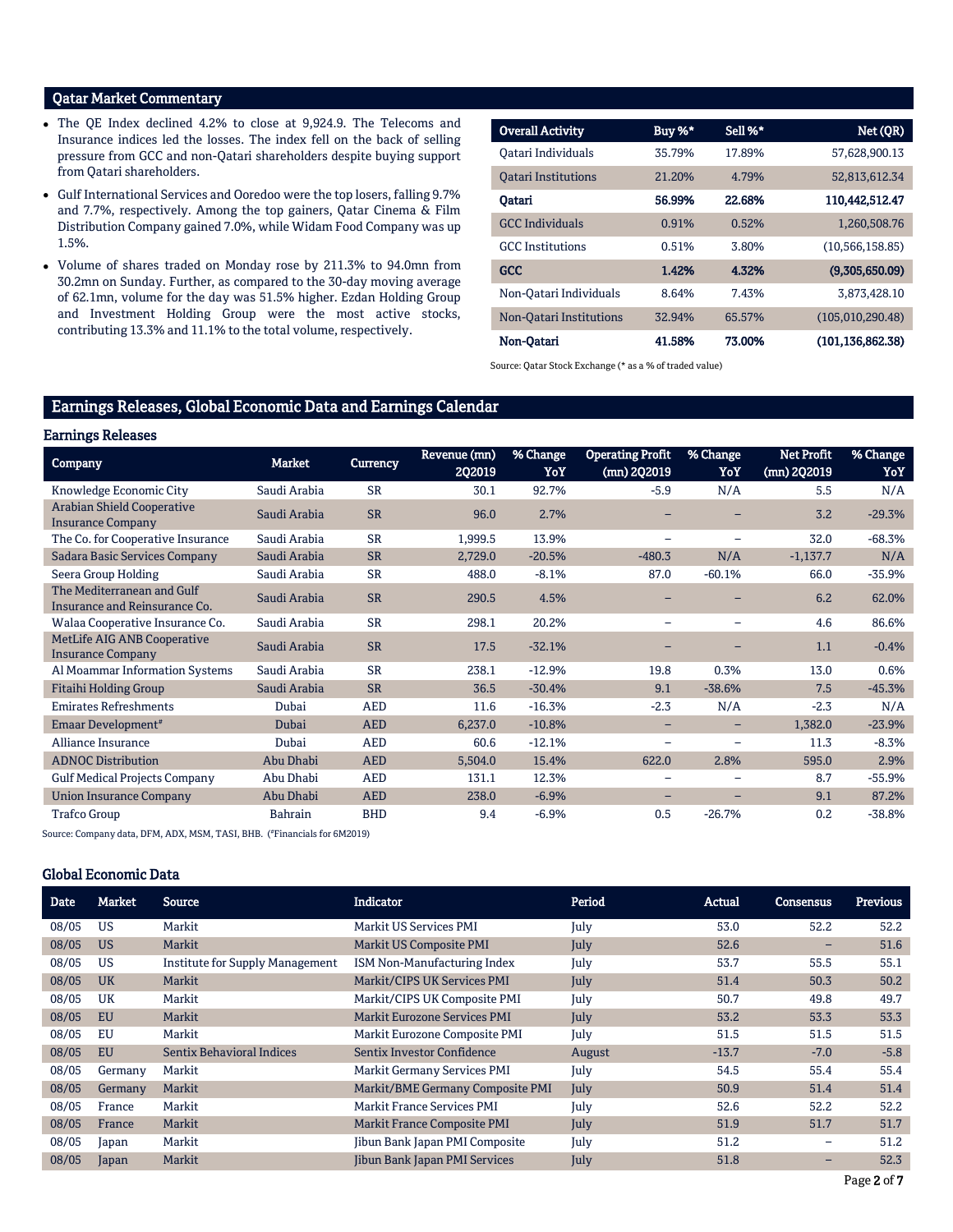# Qatar Market Commentary

- The QE Index declined 4.2% to close at 9,924.9. The Telecoms and Insurance indices led the losses. The index fell on the back of selling pressure from GCC and non-Qatari shareholders despite buying support from Qatari shareholders.
- Gulf International Services and Ooredoo were the top losers, falling 9.7% and 7.7%, respectively. Among the top gainers, Qatar Cinema & Film Distribution Company gained 7.0%, while Widam Food Company was up 1.5%.
- Volume of shares traded on Monday rose by 211.3% to 94.0mn from 30.2mn on Sunday. Further, as compared to the 30-day moving average of 62.1mn, volume for the day was 51.5% higher. Ezdan Holding Group and Investment Holding Group were the most active stocks, contributing 13.3% and 11.1% to the total volume, respectively.

| <b>Overall Activity</b>    | Buy %* | Sell %* | Net (QR)           |
|----------------------------|--------|---------|--------------------|
| Oatari Individuals         | 35.79% | 17.89%  | 57,628,900.13      |
| <b>Oatari Institutions</b> | 21.20% | 4.79%   | 52,813,612.34      |
| Oatari                     | 56.99% | 22.68%  | 110.442.512.47     |
| <b>GCC</b> Individuals     | 0.91%  | 0.52%   | 1,260,508.76       |
| <b>GCC</b> Institutions    | 0.51%  | 3.80%   | (10, 566, 158.85)  |
| <b>GCC</b>                 | 1.42%  | 4.32%   | (9,305,650.09)     |
| Non-Oatari Individuals     | 8.64%  | 7.43%   | 3.873.428.10       |
| Non-Oatari Institutions    | 32.94% | 65.57%  | (105,010,290.48)   |
| Non-Oatari                 | 41.58% | 73.00%  | (101, 136, 862.38) |

Source: Qatar Stock Exchange (\* as a % of traded value)

# Earnings Releases, Global Economic Data and Earnings Calendar

#### Earnings Releases

| ------------                                                   |                |                 |                        |                 |                                        |                          |                                    |                 |
|----------------------------------------------------------------|----------------|-----------------|------------------------|-----------------|----------------------------------------|--------------------------|------------------------------------|-----------------|
| <b>Company</b>                                                 | <b>Market</b>  | <b>Currency</b> | Revenue (mn)<br>2Q2019 | % Change<br>YoY | <b>Operating Profit</b><br>(mn) 2Q2019 | % Change<br>YoY          | <b>Net Profit</b><br>$(mn)$ 2Q2019 | % Change<br>YoY |
| Knowledge Economic City                                        | Saudi Arabia   | <b>SR</b>       | 30.1                   | 92.7%           | $-5.9$                                 | N/A                      | 5.5                                | N/A             |
| <b>Arabian Shield Cooperative</b><br><b>Insurance Company</b>  | Saudi Arabia   | <b>SR</b>       | 96.0                   | 2.7%            |                                        |                          | 3.2                                | $-29.3%$        |
| The Co. for Cooperative Insurance                              | Saudi Arabia   | <b>SR</b>       | 1,999.5                | 13.9%           | $\overline{\phantom{0}}$               | $\overline{\phantom{0}}$ | 32.0                               | $-68.3%$        |
| <b>Sadara Basic Services Company</b>                           | Saudi Arabia   | <b>SR</b>       | 2,729.0                | $-20.5%$        | $-480.3$                               | N/A                      | $-1,137.7$                         | N/A             |
| Seera Group Holding                                            | Saudi Arabia   | <b>SR</b>       | 488.0                  | $-8.1%$         | 87.0                                   | $-60.1%$                 | 66.0                               | $-35.9%$        |
| The Mediterranean and Gulf<br>Insurance and Reinsurance Co.    | Saudi Arabia   | <b>SR</b>       | 290.5                  | 4.5%            |                                        |                          | 6.2                                | 62.0%           |
| Walaa Cooperative Insurance Co.                                | Saudi Arabia   | <b>SR</b>       | 298.1                  | 20.2%           |                                        |                          | 4.6                                | 86.6%           |
| <b>MetLife AIG ANB Cooperative</b><br><b>Insurance Company</b> | Saudi Arabia   | <b>SR</b>       | 17.5                   | $-32.1%$        |                                        |                          | 1.1                                | $-0.4%$         |
| Al Moammar Information Systems                                 | Saudi Arabia   | <b>SR</b>       | 238.1                  | $-12.9%$        | 19.8                                   | 0.3%                     | 13.0                               | 0.6%            |
| <b>Fitaihi Holding Group</b>                                   | Saudi Arabia   | <b>SR</b>       | 36.5                   | $-30.4%$        | 9.1                                    | $-38.6%$                 | 7.5                                | $-45.3%$        |
| <b>Emirates Refreshments</b>                                   | Dubai          | <b>AED</b>      | 11.6                   | $-16.3%$        | $-2.3$                                 | N/A                      | $-2.3$                             | N/A             |
| Emaar Development <sup>#</sup>                                 | Dubai          | <b>AED</b>      | 6,237.0                | $-10.8%$        | $\qquad \qquad -$                      | -                        | 1,382.0                            | $-23.9%$        |
| Alliance Insurance                                             | Dubai          | <b>AED</b>      | 60.6                   | $-12.1%$        | $\overline{\phantom{0}}$               | $\overline{\phantom{0}}$ | 11.3                               | $-8.3%$         |
| <b>ADNOC Distribution</b>                                      | Abu Dhabi      | <b>AED</b>      | 5,504.0                | 15.4%           | 622.0                                  | 2.8%                     | 595.0                              | 2.9%            |
| <b>Gulf Medical Projects Company</b>                           | Abu Dhabi      | <b>AED</b>      | 131.1                  | 12.3%           |                                        |                          | 8.7                                | $-55.9%$        |
| <b>Union Insurance Company</b>                                 | Abu Dhabi      | <b>AED</b>      | 238.0                  | $-6.9%$         |                                        |                          | 9.1                                | 87.2%           |
| <b>Trafco Group</b>                                            | <b>Bahrain</b> | <b>BHD</b>      | 9.4                    | $-6.9%$         | 0.5                                    | $-26.7%$                 | 0.2                                | $-38.8%$        |

Source: Company data, DFM, ADX, MSM, TASI, BHB. ( #Financials for 6M2019)

### Global Economic Data

| <b>Date</b> | <b>Market</b> | Source                           | Indicator                           | Period | <b>Actual</b> | <b>Consensus</b> | <b>Previous</b> |
|-------------|---------------|----------------------------------|-------------------------------------|--------|---------------|------------------|-----------------|
| 08/05       | <b>US</b>     | Markit                           | Markit US Services PMI              | July   | 53.0          | 52.2             | 52.2            |
| 08/05       | <b>US</b>     | Markit                           | <b>Markit US Composite PMI</b>      | July   | 52.6          | -                | 51.6            |
| 08/05       | <b>US</b>     | Institute for Supply Management  | ISM Non-Manufacturing Index         | July   | 53.7          | 55.5             | 55.1            |
| 08/05       | <b>UK</b>     | Markit                           | Markit/CIPS UK Services PMI         | July   | 51.4          | 50.3             | 50.2            |
| 08/05       | UK            | Markit                           | Markit/CIPS UK Composite PMI        | July   | 50.7          | 49.8             | 49.7            |
| 08/05       | <b>EU</b>     | Markit                           | <b>Markit Eurozone Services PMI</b> | July   | 53.2          | 53.3             | 53.3            |
| 08/05       | EU            | Markit                           | Markit Eurozone Composite PMI       | July   | 51.5          | 51.5             | 51.5            |
| 08/05       | <b>EU</b>     | <b>Sentix Behavioral Indices</b> | Sentix Investor Confidence          | August | $-13.7$       | $-7.0$           | $-5.8$          |
| 08/05       | Germany       | Markit                           | Markit Germany Services PMI         | July   | 54.5          | 55.4             | 55.4            |
| 08/05       | Germany       | Markit                           | Markit/BME Germany Composite PMI    | July   | 50.9          | 51.4             | 51.4            |
| 08/05       | France        | Markit                           | Markit France Services PMI          | July   | 52.6          | 52.2             | 52.2            |
| 08/05       | France        | Markit                           | Markit France Composite PMI         | July   | 51.9          | 51.7             | 51.7            |
| 08/05       | Japan         | Markit                           | Jibun Bank Japan PMI Composite      | July   | 51.2          | -                | 51.2            |
| 08/05       | Japan         | Markit                           | Jibun Bank Japan PMI Services       | July   | 51.8          | -                | 52.3            |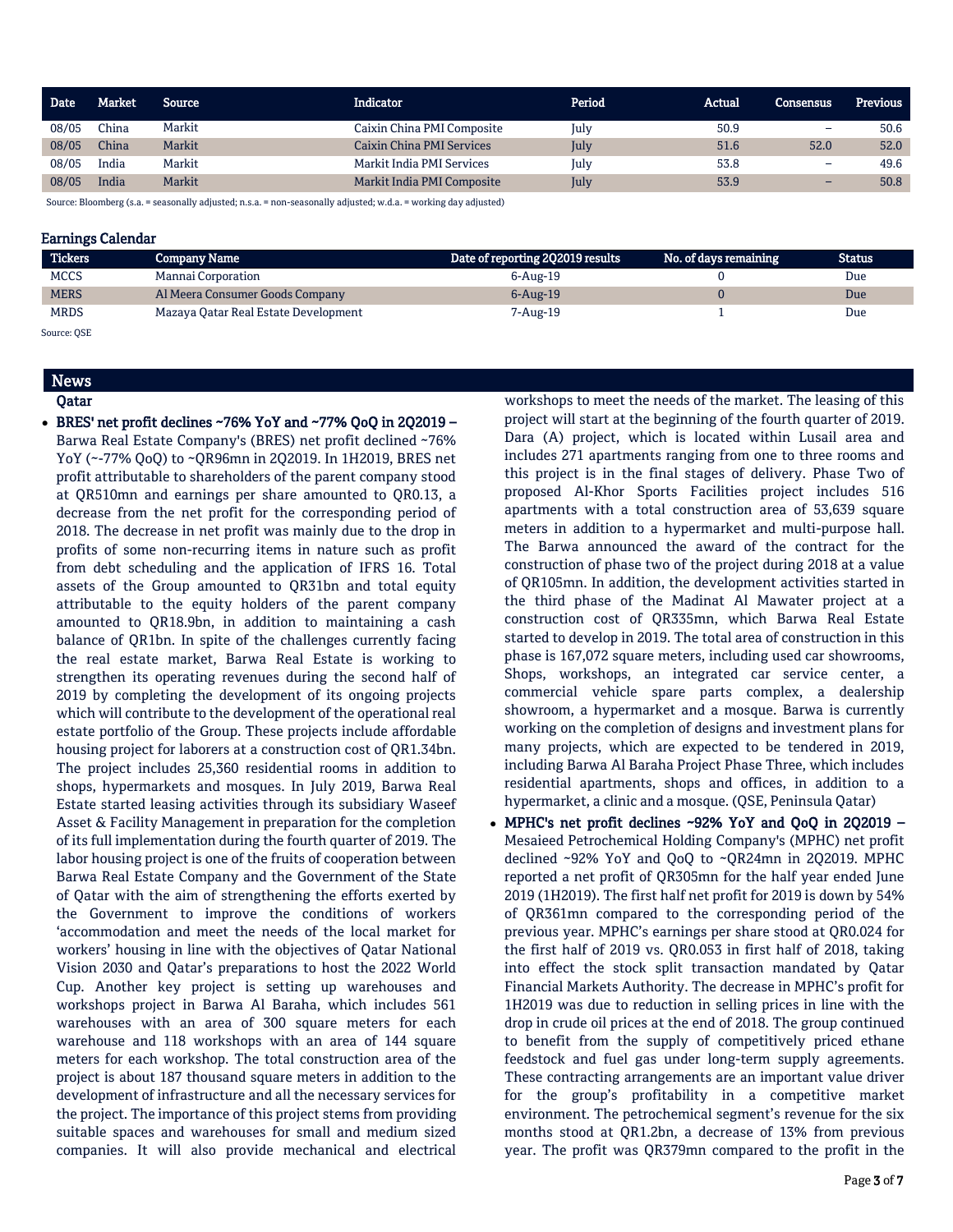| Date  | Market | Source | <b>Indicator</b>           | Period | Actual | <b>Consensus</b>         | <b>Previous</b> |
|-------|--------|--------|----------------------------|--------|--------|--------------------------|-----------------|
| 08/05 | China  | Markit | Caixin China PMI Composite | July   | 50.9   | -                        | 50.6            |
| 08/05 | China  | Markit | Caixin China PMI Services  | July   | 51.6   | 52.0                     | 52.0            |
| 08/05 | India  | Markit | Markit India PMI Services  | July   | 53.8   | -                        | 49.6            |
| 08/05 | India  | Markit | Markit India PMI Composite | July   | 53.9   | $\overline{\phantom{0}}$ | 50.8            |

Source: Bloomberg (s.a. = seasonally adjusted; n.s.a. = non-seasonally adjusted; w.d.a. = working day adjusted)

# Earnings Calendar

| <b>Tickers</b> | <b>Company Name</b>                  | Date of reporting 202019 results | No. of days remaining | Status |
|----------------|--------------------------------------|----------------------------------|-----------------------|--------|
| <b>MCCS</b>    | Mannai Corporation                   | 6-Aug-19                         |                       | Due    |
| <b>MERS</b>    | Al Meera Consumer Goods Company      | $6 - Aug-19$                     |                       | Due    |
| <b>MRDS</b>    | Mazaya Qatar Real Estate Development | 7-Aug-19                         |                       | Due    |

Source: QSE

# News Qatar

 $\bullet$  BRES' net profit declines ~76% YoY and ~77% QoQ in 2Q2019 -Barwa Real Estate Company's (BRES) net profit declined ~76% YoY (~-77% QoQ) to ~QR96mn in 2Q2019. In 1H2019, BRES net profit attributable to shareholders of the parent company stood at QR510mn and earnings per share amounted to QR0.13, a decrease from the net profit for the corresponding period of 2018. The decrease in net profit was mainly due to the drop in profits of some non-recurring items in nature such as profit from debt scheduling and the application of IFRS 16. Total assets of the Group amounted to QR31bn and total equity attributable to the equity holders of the parent company amounted to QR18.9bn, in addition to maintaining a cash balance of QR1bn. In spite of the challenges currently facing the real estate market, Barwa Real Estate is working to strengthen its operating revenues during the second half of 2019 by completing the development of its ongoing projects which will contribute to the development of the operational real estate portfolio of the Group. These projects include affordable housing project for laborers at a construction cost of QR1.34bn. The project includes 25,360 residential rooms in addition to shops, hypermarkets and mosques. In July 2019, Barwa Real Estate started leasing activities through its subsidiary Waseef Asset & Facility Management in preparation for the completion of its full implementation during the fourth quarter of 2019. The labor housing project is one of the fruits of cooperation between Barwa Real Estate Company and the Government of the State of Qatar with the aim of strengthening the efforts exerted by the Government to improve the conditions of workers 'accommodation and meet the needs of the local market for workers' housing in line with the objectives of Qatar National Vision 2030 and Qatar's preparations to host the 2022 World Cup. Another key project is setting up warehouses and workshops project in Barwa Al Baraha, which includes 561 warehouses with an area of 300 square meters for each warehouse and 118 workshops with an area of 144 square meters for each workshop. The total construction area of the project is about 187 thousand square meters in addition to the development of infrastructure and all the necessary services for the project. The importance of this project stems from providing suitable spaces and warehouses for small and medium sized companies. It will also provide mechanical and electrical

workshops to meet the needs of the market. The leasing of this project will start at the beginning of the fourth quarter of 2019. Dara (A) project, which is located within Lusail area and includes 271 apartments ranging from one to three rooms and this project is in the final stages of delivery. Phase Two of proposed Al-Khor Sports Facilities project includes 516 apartments with a total construction area of 53,639 square meters in addition to a hypermarket and multi-purpose hall. The Barwa announced the award of the contract for the construction of phase two of the project during 2018 at a value of QR105mn. In addition, the development activities started in the third phase of the Madinat Al Mawater project at a construction cost of QR335mn, which Barwa Real Estate started to develop in 2019. The total area of construction in this phase is 167,072 square meters, including used car showrooms, Shops, workshops, an integrated car service center, a commercial vehicle spare parts complex, a dealership showroom, a hypermarket and a mosque. Barwa is currently working on the completion of designs and investment plans for many projects, which are expected to be tendered in 2019, including Barwa Al Baraha Project Phase Three, which includes residential apartments, shops and offices, in addition to a hypermarket, a clinic and a mosque. (QSE, Peninsula Qatar)

 MPHC's net profit declines ~92% YoY and QoQ in 2Q2019 – Mesaieed Petrochemical Holding Company's (MPHC) net profit declined ~92% YoY and QoQ to ~QR24mn in 2Q2019. MPHC reported a net profit of QR305mn for the half year ended June 2019 (1H2019). The first half net profit for 2019 is down by 54% of QR361mn compared to the corresponding period of the previous year. MPHC's earnings per share stood at QR0.024 for the first half of 2019 vs. QR0.053 in first half of 2018, taking into effect the stock split transaction mandated by Qatar Financial Markets Authority. The decrease in MPHC's profit for 1H2019 was due to reduction in selling prices in line with the drop in crude oil prices at the end of 2018. The group continued to benefit from the supply of competitively priced ethane feedstock and fuel gas under long-term supply agreements. These contracting arrangements are an important value driver for the group's profitability in a competitive market environment. The petrochemical segment's revenue for the six months stood at QR1.2bn, a decrease of 13% from previous year. The profit was QR379mn compared to the profit in the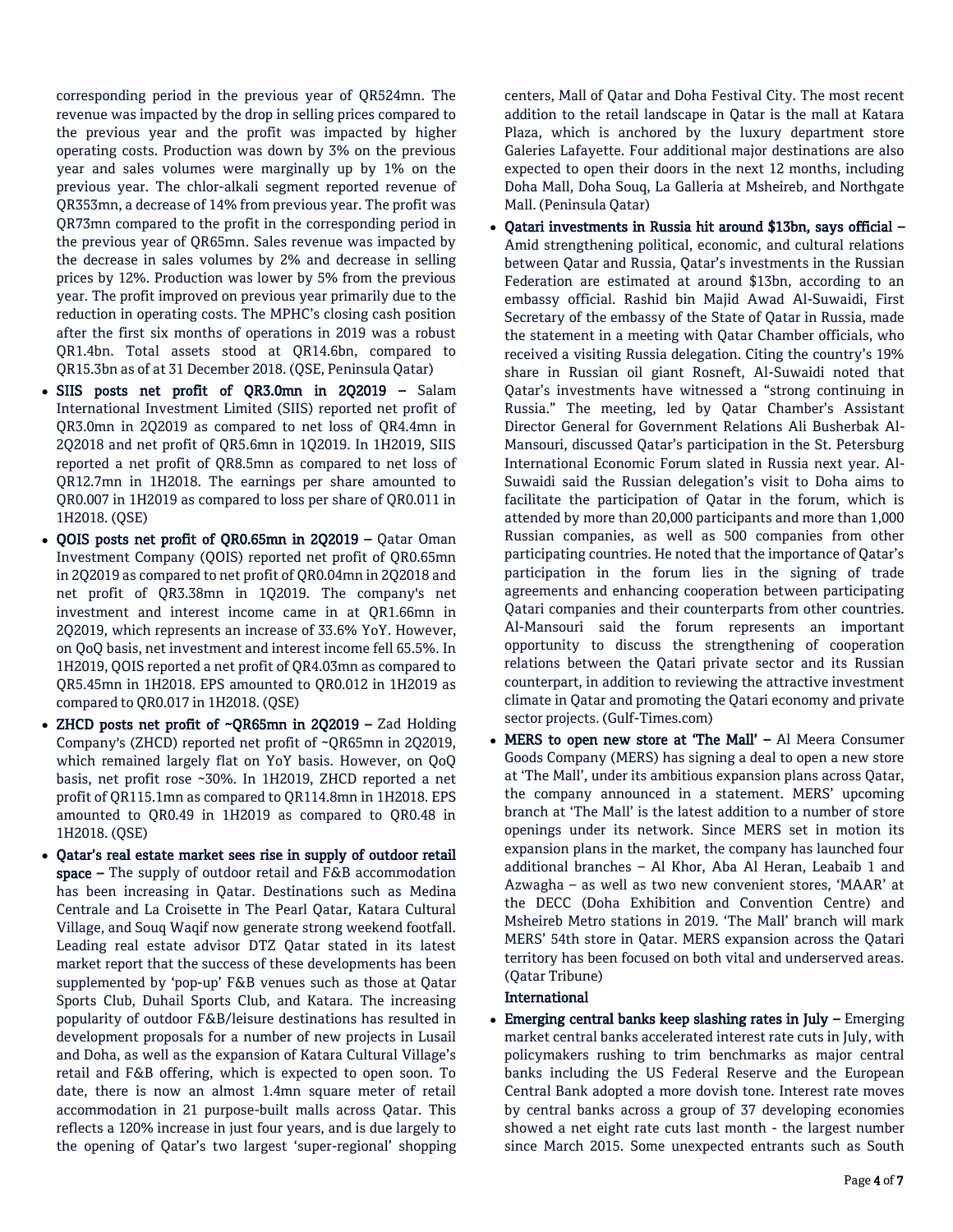corresponding period in the previous year of QR524mn. The revenue was impacted by the drop in selling prices compared to the previous year and the profit was impacted by higher operating costs. Production was down by 3% on the previous year and sales volumes were marginally up by 1% on the previous year. The chlor-alkali segment reported revenue of QR353mn, a decrease of 14% from previous year. The profit was QR73mn compared to the profit in the corresponding period in the previous year of QR65mn. Sales revenue was impacted by the decrease in sales volumes by 2% and decrease in selling prices by 12%. Production was lower by 5% from the previous year. The profit improved on previous year primarily due to the reduction in operating costs. The MPHC's closing cash position after the first six months of operations in 2019 was a robust QR1.4bn. Total assets stood at QR14.6bn, compared to QR15.3bn as of at 31 December 2018. (QSE, Peninsula Qatar)

- SIIS posts net profit of QR3.0mn in 2Q2019 Salam International Investment Limited (SIIS) reported net profit of QR3.0mn in 2Q2019 as compared to net loss of QR4.4mn in 2Q2018 and net profit of QR5.6mn in 1Q2019. In 1H2019, SIIS reported a net profit of QR8.5mn as compared to net loss of QR12.7mn in 1H2018. The earnings per share amounted to QR0.007 in 1H2019 as compared to loss per share of QR0.011 in 1H2018. (QSE)
- QOIS posts net profit of QR0.65mn in 2Q2019 Qatar Oman Investment Company (QOIS) reported net profit of QR0.65mn in 2Q2019 as compared to net profit of QR0.04mn in 2Q2018 and net profit of QR3.38mn in 1Q2019. The company's net investment and interest income came in at QR1.66mn in 2Q2019, which represents an increase of 33.6% YoY. However, on QoQ basis, net investment and interest income fell 65.5%. In 1H2019, QOIS reported a net profit of QR4.03mn as compared to QR5.45mn in 1H2018. EPS amounted to QR0.012 in 1H2019 as compared to QR0.017 in 1H2018. (QSE)
- ZHCD posts net profit of ~QR65mn in 2Q2019 Zad Holding Company's (ZHCD) reported net profit of ~QR65mn in 2Q2019, which remained largely flat on YoY basis. However, on QoQ basis, net profit rose ~30%. In 1H2019, ZHCD reported a net profit of QR115.1mn as compared to QR114.8mn in 1H2018. EPS amounted to QR0.49 in 1H2019 as compared to QR0.48 in 1H2018. (QSE)
- Qatar's real estate market sees rise in supply of outdoor retail space – The supply of outdoor retail and F&B accommodation has been increasing in Qatar. Destinations such as Medina Centrale and La Croisette in The Pearl Qatar, Katara Cultural Village, and Souq Waqif now generate strong weekend footfall. Leading real estate advisor DTZ Qatar stated in its latest market report that the success of these developments has been supplemented by 'pop-up' F&B venues such as those at Qatar Sports Club, Duhail Sports Club, and Katara. The increasing popularity of outdoor F&B/leisure destinations has resulted in development proposals for a number of new projects in Lusail and Doha, as well as the expansion of Katara Cultural Village's retail and F&B offering, which is expected to open soon. To date, there is now an almost 1.4mn square meter of retail accommodation in 21 purpose-built malls across Qatar. This reflects a 120% increase in just four years, and is due largely to the opening of Qatar's two largest 'super-regional' shopping

centers, Mall of Qatar and Doha Festival City. The most recent addition to the retail landscape in Qatar is the mall at Katara Plaza, which is anchored by the luxury department store Galeries Lafayette. Four additional major destinations are also expected to open their doors in the next 12 months, including Doha Mall, Doha Souq, La Galleria at Msheireb, and Northgate Mall. (Peninsula Qatar)

- Qatari investments in Russia hit around \$13bn, says official Amid strengthening political, economic, and cultural relations between Qatar and Russia, Qatar's investments in the Russian Federation are estimated at around \$13bn, according to an embassy official. Rashid bin Majid Awad Al-Suwaidi, First Secretary of the embassy of the State of Qatar in Russia, made the statement in a meeting with Qatar Chamber officials, who received a visiting Russia delegation. Citing the country's 19% share in Russian oil giant Rosneft, Al-Suwaidi noted that Qatar's investments have witnessed a "strong continuing in Russia." The meeting, led by Qatar Chamber's Assistant Director General for Government Relations Ali Busherbak Al-Mansouri, discussed Qatar's participation in the St. Petersburg International Economic Forum slated in Russia next year. Al-Suwaidi said the Russian delegation's visit to Doha aims to facilitate the participation of Qatar in the forum, which is attended by more than 20,000 participants and more than 1,000 Russian companies, as well as 500 companies from other participating countries. He noted that the importance of Qatar's participation in the forum lies in the signing of trade agreements and enhancing cooperation between participating Qatari companies and their counterparts from other countries. Al-Mansouri said the forum represents an important opportunity to discuss the strengthening of cooperation relations between the Qatari private sector and its Russian counterpart, in addition to reviewing the attractive investment climate in Qatar and promoting the Qatari economy and private sector projects. (Gulf-Times.com)
- MERS to open new store at 'The Mall' Al Meera Consumer Goods Company (MERS) has signing a deal to open a new store at 'The Mall', under its ambitious expansion plans across Qatar, the company announced in a statement. MERS' upcoming branch at 'The Mall' is the latest addition to a number of store openings under its network. Since MERS set in motion its expansion plans in the market, the company has launched four additional branches – Al Khor, Aba Al Heran, Leabaib 1 and Azwagha – as well as two new convenient stores, 'MAAR' at the DECC (Doha Exhibition and Convention Centre) and Msheireb Metro stations in 2019. 'The Mall' branch will mark MERS' 54th store in Qatar. MERS expansion across the Qatari territory has been focused on both vital and underserved areas. (Qatar Tribune)

# International

 Emerging central banks keep slashing rates in July – Emerging market central banks accelerated interest rate cuts in July, with policymakers rushing to trim benchmarks as major central banks including the US Federal Reserve and the European Central Bank adopted a more dovish tone. Interest rate moves by central banks across a group of 37 developing economies showed a net eight rate cuts last month - the largest number since March 2015. Some unexpected entrants such as South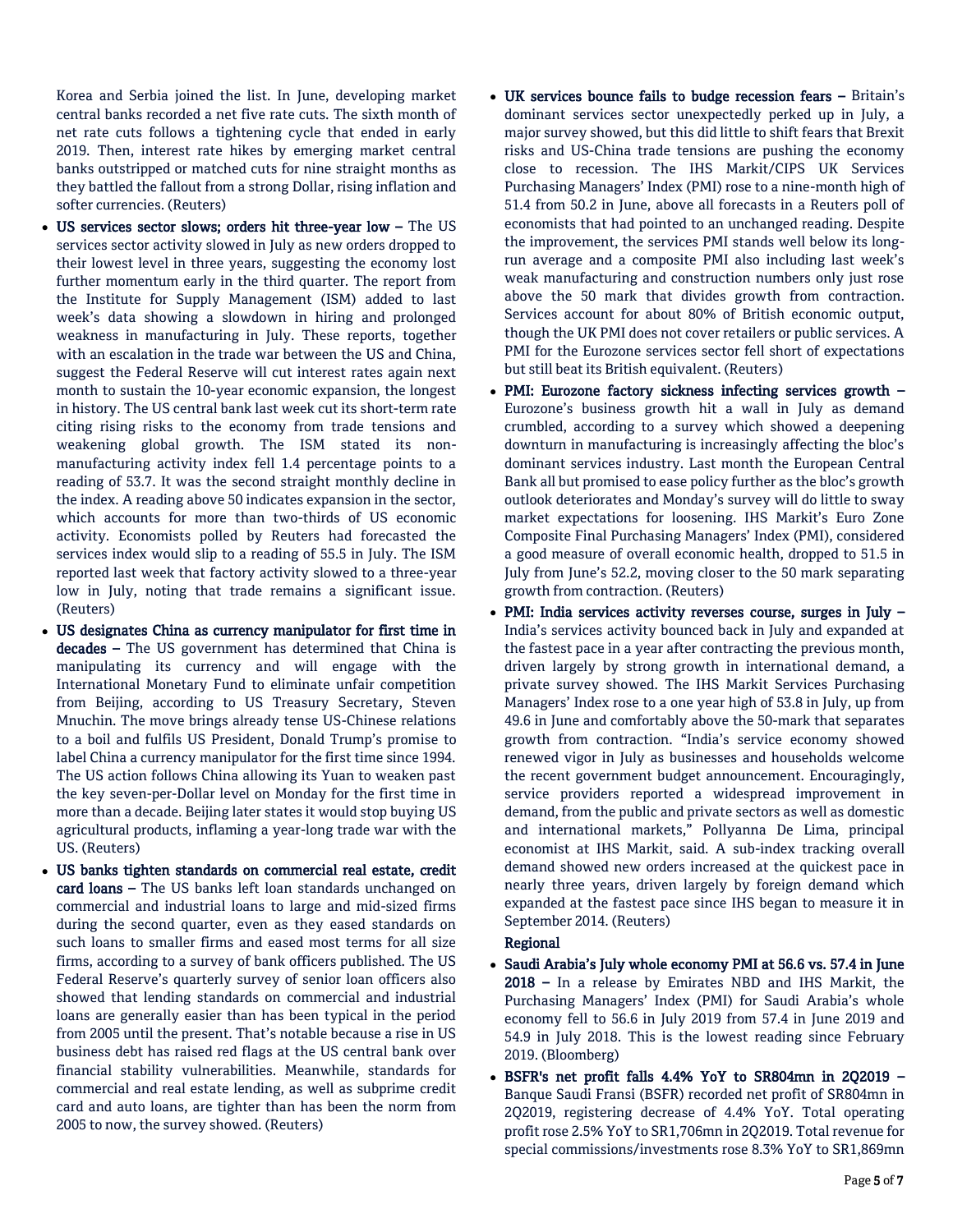Korea and Serbia joined the list. In June, developing market central banks recorded a net five rate cuts. The sixth month of net rate cuts follows a tightening cycle that ended in early 2019. Then, interest rate hikes by emerging market central banks outstripped or matched cuts for nine straight months as they battled the fallout from a strong Dollar, rising inflation and softer currencies. (Reuters)

- US services sector slows; orders hit three-year low The US services sector activity slowed in July as new orders dropped to their lowest level in three years, suggesting the economy lost further momentum early in the third quarter. The report from the Institute for Supply Management (ISM) added to last week's data showing a slowdown in hiring and prolonged weakness in manufacturing in July. These reports, together with an escalation in the trade war between the US and China, suggest the Federal Reserve will cut interest rates again next month to sustain the 10-year economic expansion, the longest in history. The US central bank last week cut its short-term rate citing rising risks to the economy from trade tensions and weakening global growth. The ISM stated its nonmanufacturing activity index fell 1.4 percentage points to a reading of 53.7. It was the second straight monthly decline in the index. A reading above 50 indicates expansion in the sector, which accounts for more than two-thirds of US economic activity. Economists polled by Reuters had forecasted the services index would slip to a reading of 55.5 in July. The ISM reported last week that factory activity slowed to a three-year low in July, noting that trade remains a significant issue. (Reuters)
- US designates China as currency manipulator for first time in decades – The US government has determined that China is manipulating its currency and will engage with the International Monetary Fund to eliminate unfair competition from Beijing, according to US Treasury Secretary, Steven Mnuchin. The move brings already tense US-Chinese relations to a boil and fulfils US President, Donald Trump's promise to label China a currency manipulator for the first time since 1994. The US action follows China allowing its Yuan to weaken past the key seven-per-Dollar level on Monday for the first time in more than a decade. Beijing later states it would stop buying US agricultural products, inflaming a year-long trade war with the US. (Reuters)
- US banks tighten standards on commercial real estate, credit card loans – The US banks left loan standards unchanged on commercial and industrial loans to large and mid-sized firms during the second quarter, even as they eased standards on such loans to smaller firms and eased most terms for all size firms, according to a survey of bank officers published. The US Federal Reserve's quarterly survey of senior loan officers also showed that lending standards on commercial and industrial loans are generally easier than has been typical in the period from 2005 until the present. That's notable because a rise in US business debt has raised red flags at the US central bank over financial stability vulnerabilities. Meanwhile, standards for commercial and real estate lending, as well as subprime credit card and auto loans, are tighter than has been the norm from 2005 to now, the survey showed. (Reuters)
- UK services bounce fails to budge recession fears Britain's dominant services sector unexpectedly perked up in July, a major survey showed, but this did little to shift fears that Brexit risks and US-China trade tensions are pushing the economy close to recession. The IHS Markit/CIPS UK Services Purchasing Managers' Index (PMI) rose to a nine-month high of 51.4 from 50.2 in June, above all forecasts in a Reuters poll of economists that had pointed to an unchanged reading. Despite the improvement, the services PMI stands well below its longrun average and a composite PMI also including last week's weak manufacturing and construction numbers only just rose above the 50 mark that divides growth from contraction. Services account for about 80% of British economic output, though the UK PMI does not cover retailers or public services. A PMI for the Eurozone services sector fell short of expectations but still beat its British equivalent. (Reuters)
- PMI: Eurozone factory sickness infecting services growth Eurozone's business growth hit a wall in July as demand crumbled, according to a survey which showed a deepening downturn in manufacturing is increasingly affecting the bloc's dominant services industry. Last month the European Central Bank all but promised to ease policy further as the bloc's growth outlook deteriorates and Monday's survey will do little to sway market expectations for loosening. IHS Markit's Euro Zone Composite Final Purchasing Managers' Index (PMI), considered a good measure of overall economic health, dropped to 51.5 in July from June's 52.2, moving closer to the 50 mark separating growth from contraction. (Reuters)
- PMI: India services activity reverses course, surges in July India's services activity bounced back in July and expanded at the fastest pace in a year after contracting the previous month, driven largely by strong growth in international demand, a private survey showed. The IHS Markit Services Purchasing Managers' Index rose to a one year high of 53.8 in July, up from 49.6 in June and comfortably above the 50-mark that separates growth from contraction. "India's service economy showed renewed vigor in July as businesses and households welcome the recent government budget announcement. Encouragingly, service providers reported a widespread improvement in demand, from the public and private sectors as well as domestic and international markets," Pollyanna De Lima, principal economist at IHS Markit, said. A sub-index tracking overall demand showed new orders increased at the quickest pace in nearly three years, driven largely by foreign demand which expanded at the fastest pace since IHS began to measure it in September 2014. (Reuters)

## Regional

- Saudi Arabia's July whole economy PMI at 56.6 vs. 57.4 in June 2018 – In a release by Emirates NBD and IHS Markit, the Purchasing Managers' Index (PMI) for Saudi Arabia's whole economy fell to 56.6 in July 2019 from 57.4 in June 2019 and 54.9 in July 2018. This is the lowest reading since February 2019. (Bloomberg)
- BSFR's net profit falls 4.4% YoY to SR804mn in 2Q2019 Banque Saudi Fransi (BSFR) recorded net profit of SR804mn in 2Q2019, registering decrease of 4.4% YoY. Total operating profit rose 2.5% YoY to SR1,706mn in 2Q2019. Total revenue for special commissions/investments rose 8.3% YoY to SR1,869mn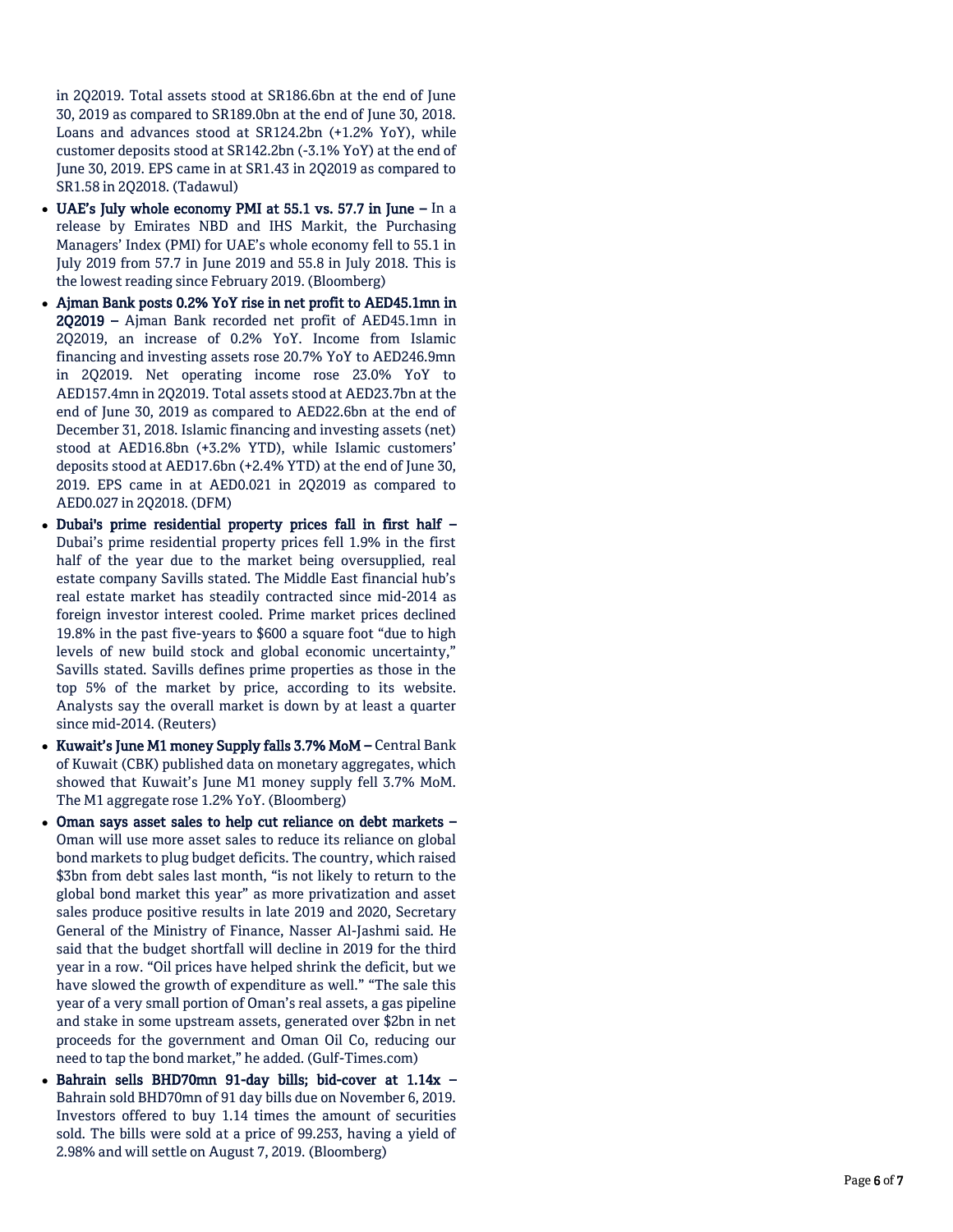in 2Q2019. Total assets stood at SR186.6bn at the end of June 30, 2019 as compared to SR189.0bn at the end of June 30, 2018. Loans and advances stood at SR124.2bn (+1.2% YoY), while customer deposits stood at SR142.2bn ( -3.1% YoY) at the end of June 30, 2019. EPS came in at SR1.43 in 2Q2019 as compared to SR1.58 in 2Q2018. (Tadawul)

- UAE's July whole economy PMI at 55.1 vs. 57.7 in June In a release by Emirates NBD and IHS Markit, the Purchasing Managers' Index (PMI) for UAE's whole economy fell to 55.1 in July 2019 from 57.7 in June 2019 and 55.8 in July 2018. This is the lowest reading since February 2019. (Bloomberg)
- Ajman Bank posts 0.2% YoY rise in net profit to AED45.1mn in 2Q2019 – Ajman Bank recorded net profit of AED45.1mn in 2Q2019, an increase of 0.2% YoY. Income from Islamic financing and investing assets rose 20.7% YoY to AED246.9mn in 2Q2019. Net operating income rose 23.0% YoY to AED157.4mn in 2Q2019. Total assets stood at AED23.7bn at the end of June 30, 2019 as compared to AED22.6bn at the end of December 31, 2018. Islamic financing and investing assets (net) stood at AED16.8bn (+3.2% YTD), while Islamic customers' deposits stood at AED17.6bn (+2.4% YTD) at the end of June 30, 2019. EPS came in at AED0.021 in 2Q2019 as compared to AED0.027 in 2Q2018. (DFM)
- Dubai's prime residential property prices fall in first half Dubai's prime residential property prices fell 1.9% in the first half of the year due to the market being oversupplied, real estate company Savills stated. The Middle East financial hub's real estate market has steadily contracted since mid -2014 as foreign investor interest cooled. Prime market prices declined 19.8% in the past five -years to \$600 a square foot "due to high levels of new build stock and global economic uncertainty," Savills stated. Savills defines prime properties as those in the top 5% of the market by price, according to its website. Analysts say the overall market is down by at least a quarter since mid -2014. (Reuters)
- Kuwait's June M1 money Supply falls 3.7% MoM Central Bank of Kuwait (CBK) published data on monetary aggregates, which showed that Kuwait's June M1 money supply fell 3.7% MoM. The M1 aggregate rose 1.2% YoY. (Bloomberg)
- Oman says asset sales to help cut reliance on debt markets Oman will use more asset sales to reduce its reliance on global bond markets to plug budget deficits. The country, which raised \$3bn from debt sales last month, "is not likely to return to the global bond market this year" as more privatization and asset sales produce positive results in late 2019 and 2020, Secretary General of the Ministry of Finance, Nasser Al -Jashmi said. He said that the budget shortfall will decline in 2019 for the third year in a row. "Oil prices have helped shrink the deficit, but we have slowed the growth of expenditure as well." "The sale this year of a very small portion of Oman's real assets, a gas pipeline and stake in some upstream assets, generated over \$2bn in net proceeds for the government and Oman Oil Co, reducing our need to tap the bond market," he added. (Gulf -Times.com)
- Bahrain sells BHD70mn 91-day bills; bid-cover at 1.14x -Bahrain sold BHD70mn of 91 day bills due on November 6, 2019. Investors offered to buy 1.14 times the amount of securities sold. The bills were sold at a price of 99.253, having a yield of 2.98% and will settle on August 7, 2019. (Bloomberg)